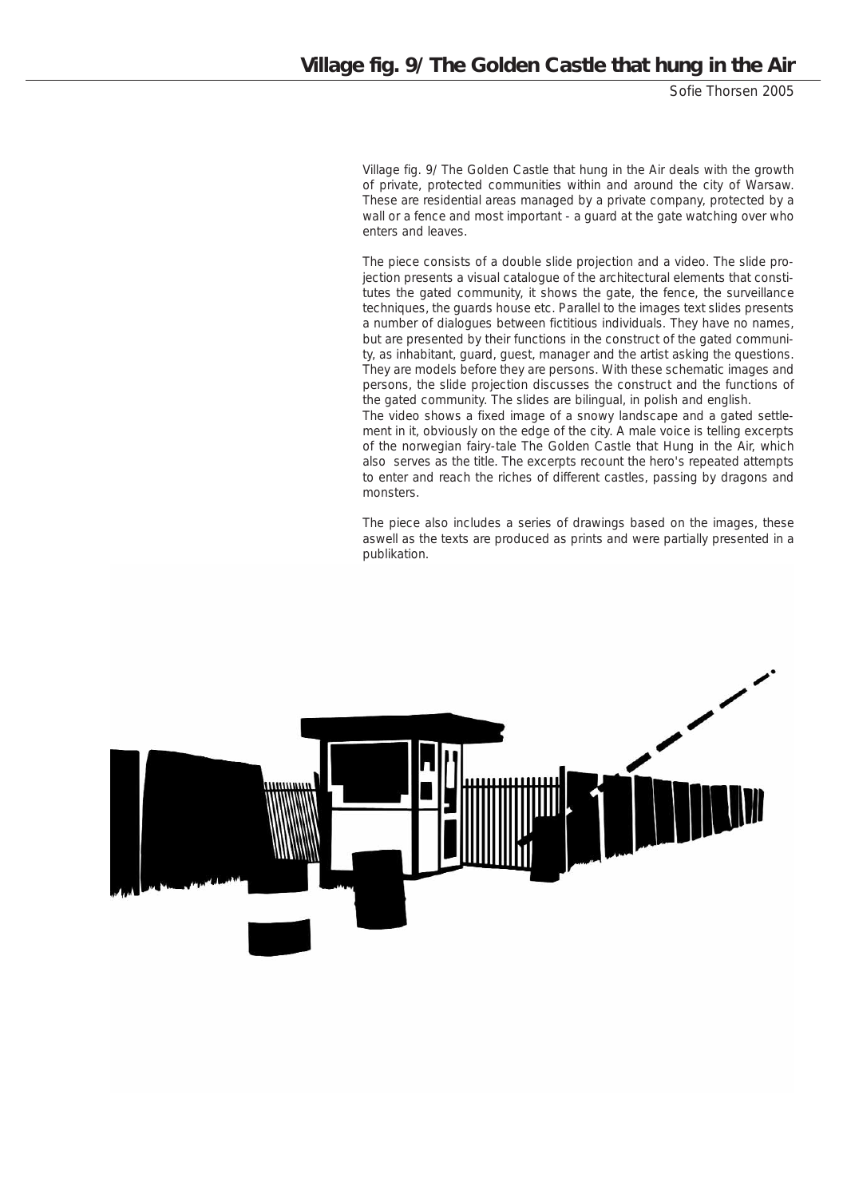Sofie Thorsen 2005

*Village fig. 9/ The Golden Castle that hung in the Air* deals with the growth of private, protected communities within and around the city of Warsaw. These are residential areas managed by a private company, protected by a wall or a fence and most important - a guard at the gate watching over who enters and leaves.

The piece consists of a double slide projection and a video. The slide projection presents a visual catalogue of the architectural elements that constitutes the gated community, it shows the gate, the fence, the surveillance techniques, the guards house etc. Parallel to the images text slides presents a number of dialogues between fictitious individuals. They have no names, but are presented by their functions in the construct of the gated community, as inhabitant, guard, guest, manager and the artist asking the questions. They are models before they are persons. With these schematic images and persons, the slide projection discusses the construct and the functions of the gated community. The slides are bilingual, in polish and english. The video shows a fixed image of a snowy landscape and a gated settle-

ment in it, obviously on the edge of the city. A male voice is telling excerpts of the norwegian fairy-tale The Golden Castle that Hung in the Air, which also serves as the title. The excerpts recount the hero's repeated attempts to enter and reach the riches of different castles, passing by dragons and monsters.

The piece also includes a series of drawings based on the images, these aswell as the texts are produced as prints and were partially presented in a publikation.

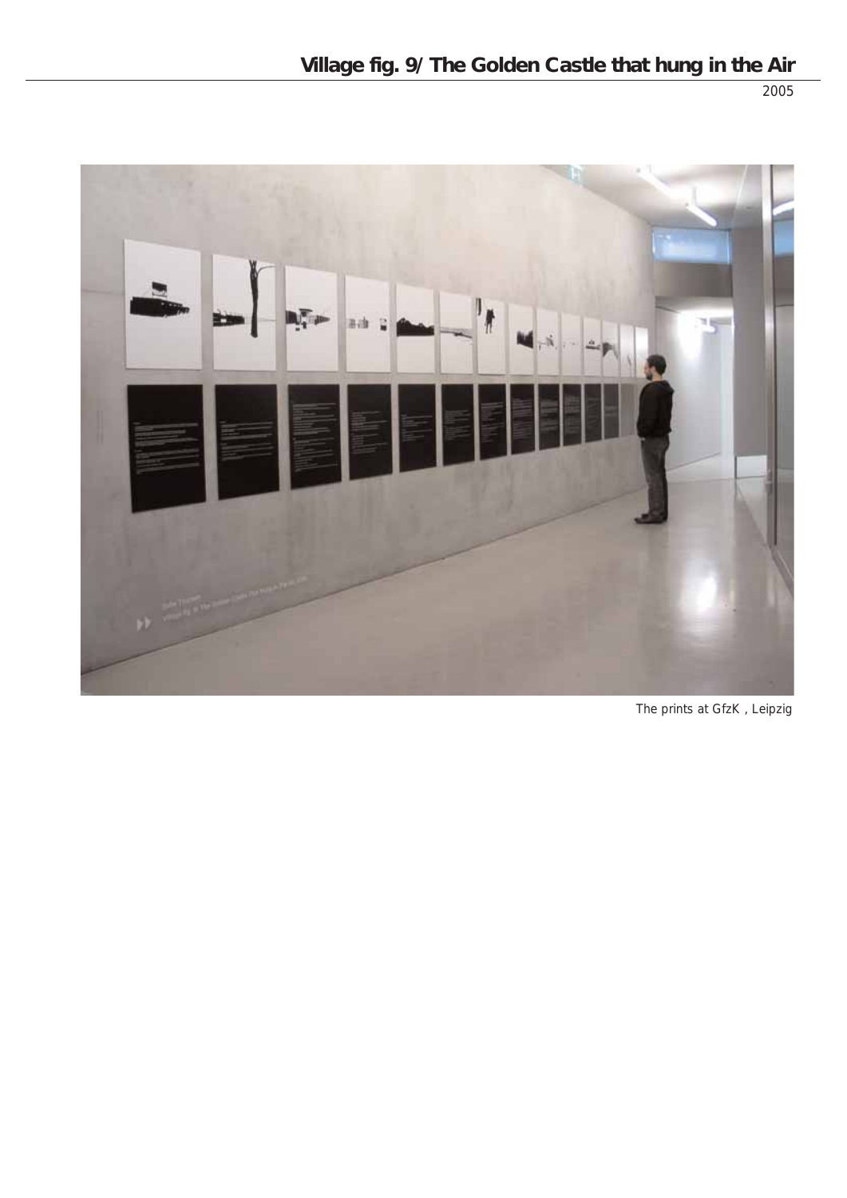



The prints at GfzK , Leipzig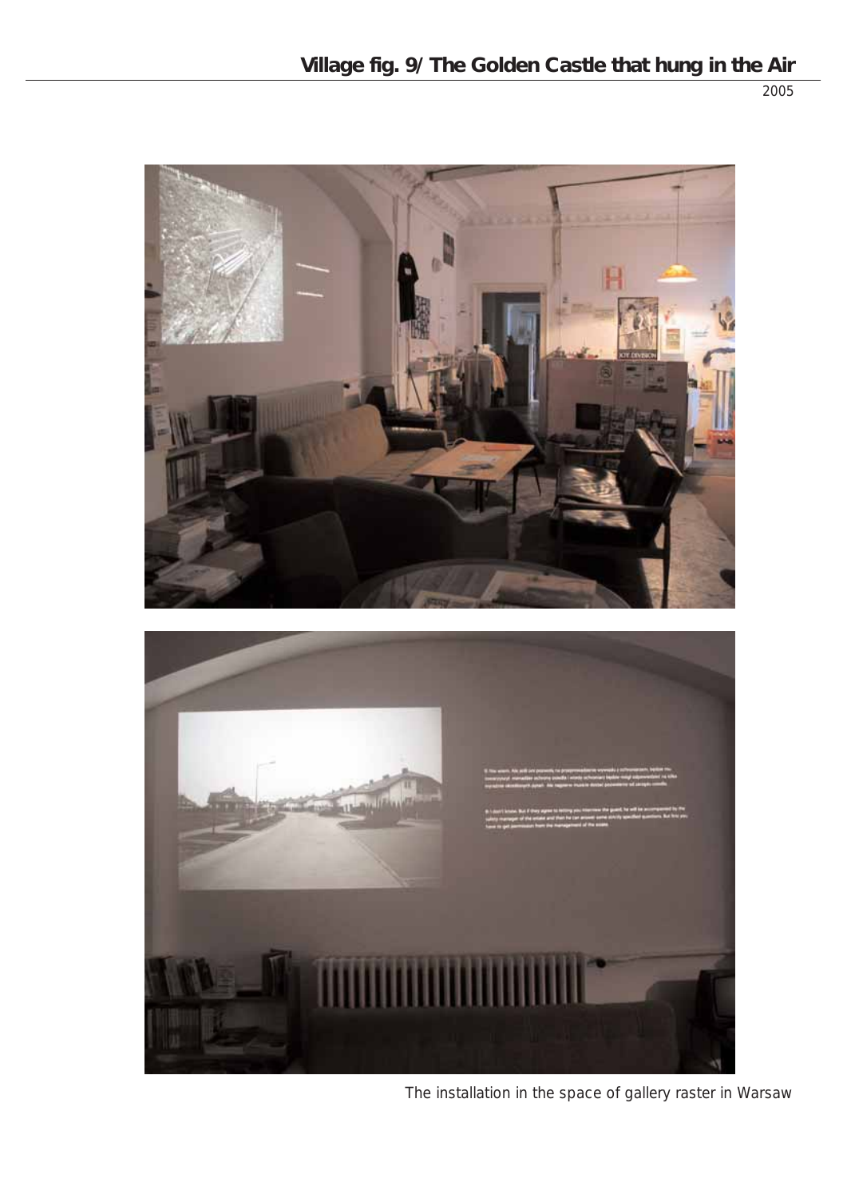

The installation in the space of gallery raster in Warsaw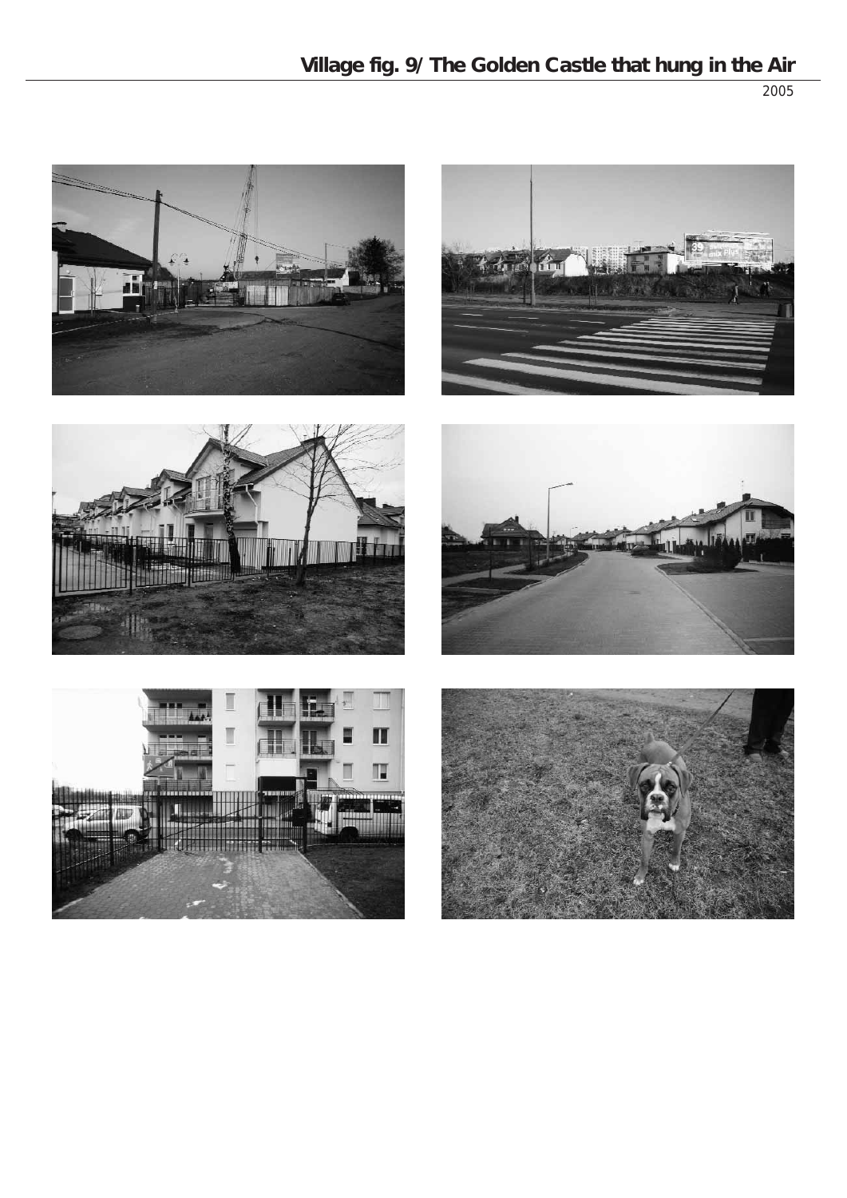